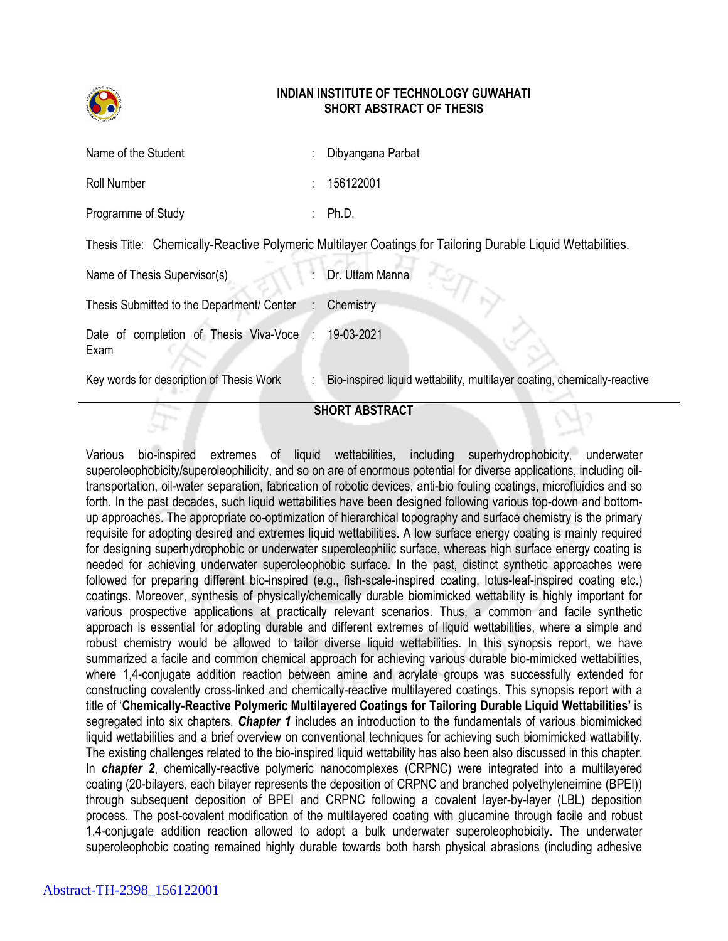

## **INDIAN INSTITUTE OF TECHNOLOGY GUWAHATI SHORT ABSTRACT OF THESIS**

| <b>SHORT ABSTRACT</b>                                                                                       |                           |                                                                          |
|-------------------------------------------------------------------------------------------------------------|---------------------------|--------------------------------------------------------------------------|
| Key words for description of Thesis Work                                                                    |                           | Bio-inspired liquid wettability, multilayer coating, chemically-reactive |
| Date of completion of Thesis Viva-Voce<br>Exam                                                              |                           | 19-03-2021                                                               |
| Thesis Submitted to the Department/ Center                                                                  | $\mathbb{R}^{\mathbb{Z}}$ | Chemistry                                                                |
| Name of Thesis Supervisor(s)                                                                                |                           | Dr. Uttam Manna                                                          |
| Thesis Title: Chemically-Reactive Polymeric Multilayer Coatings for Tailoring Durable Liquid Wettabilities. |                           |                                                                          |
| Programme of Study                                                                                          |                           | Ph.D.                                                                    |
| Roll Number                                                                                                 |                           | 156122001                                                                |
| Name of the Student                                                                                         |                           | Dibyangana Parbat                                                        |

Various bio-inspired extremes of liquid wettabilities, including superhydrophobicity, underwater superoleophobicity/superoleophilicity, and so on are of enormous potential for diverse applications, including oiltransportation, oil-water separation, fabrication of robotic devices, anti-bio fouling coatings, microfluidics and so forth. In the past decades, such liquid wettabilities have been designed following various top-down and bottomup approaches. The appropriate co-optimization of hierarchical topography and surface chemistry is the primary requisite for adopting desired and extremes liquid wettabilities. A low surface energy coating is mainly required for designing superhydrophobic or underwater superoleophilic surface, whereas high surface energy coating is needed for achieving underwater superoleophobic surface. In the past, distinct synthetic approaches were followed for preparing different bio-inspired (e.g., fish-scale-inspired coating, lotus-leaf-inspired coating etc.) coatings. Moreover, synthesis of physically/chemically durable biomimicked wettability is highly important for various prospective applications at practically relevant scenarios. Thus, a common and facile synthetic approach is essential for adopting durable and different extremes of liquid wettabilities, where a simple and robust chemistry would be allowed to tailor diverse liquid wettabilities. In this synopsis report, we have summarized a facile and common chemical approach for achieving various durable bio-mimicked wettabilities, where 1,4-conjugate addition reaction between amine and acrylate groups was successfully extended for constructing covalently cross-linked and chemically-reactive multilayered coatings. This synopsis report with a title of '**Chemically-Reactive Polymeric Multilayered Coatings for Tailoring Durable Liquid Wettabilities'** is segregated into six chapters. *Chapter 1* includes an introduction to the fundamentals of various biomimicked liquid wettabilities and a brief overview on conventional techniques for achieving such biomimicked wattability. The existing challenges related to the bio-inspired liquid wettability has also been also discussed in this chapter. In *chapter 2*, chemically-reactive polymeric nanocomplexes (CRPNC) were integrated into a multilayered coating (20-bilayers, each bilayer represents the deposition of CRPNC and branched polyethyleneimine (BPEI)) through subsequent deposition of BPEI and CRPNC following a covalent layer-by-layer (LBL) deposition process. The post-covalent modification of the multilayered coating with glucamine through facile and robust 1,4-conjugate addition reaction allowed to adopt a bulk underwater superoleophobicity. The underwater superoleophobic coating remained highly durable towards both harsh physical abrasions (including adhesive